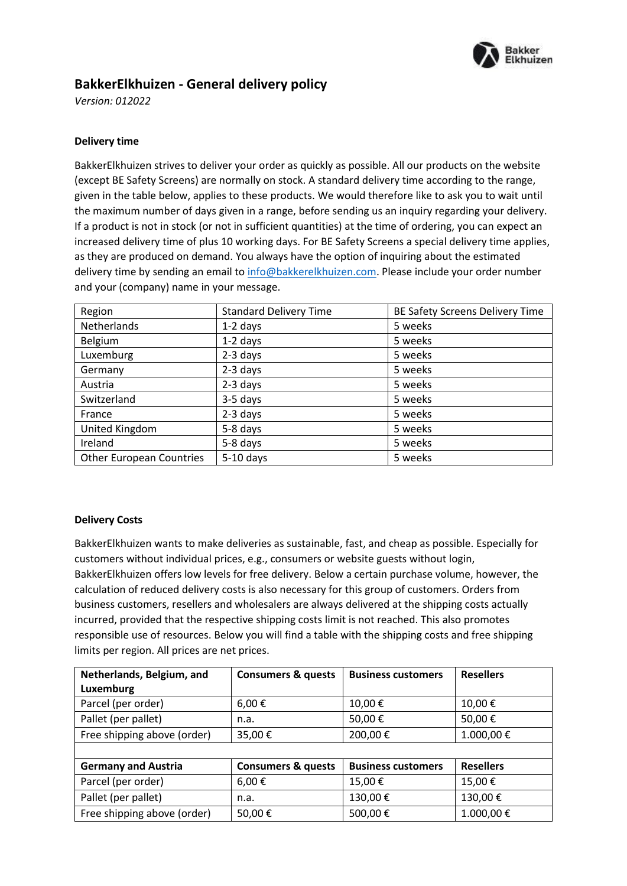

# **BakkerElkhuizen - General delivery policy**

*Version: 012022*

## **Delivery time**

BakkerElkhuizen strives to deliver your order as quickly as possible. All our products on the website (except BE Safety Screens) are normally on stock. A standard delivery time according to the range, given in the table below, applies to these products. We would therefore like to ask you to wait until the maximum number of days given in a range, before sending us an inquiry regarding your delivery. If a product is not in stock (or not in sufficient quantities) at the time of ordering, you can expect an increased delivery time of plus 10 working days. For BE Safety Screens a special delivery time applies, as they are produced on demand. You always have the option of inquiring about the estimated delivery time by sending an email to [info@bakkerelkhuizen.com.](mailto:info@bakkerelkhuizen.com) Please include your order number and your (company) name in your message.

| Region                          | <b>Standard Delivery Time</b> | BE Safety Screens Delivery Time |
|---------------------------------|-------------------------------|---------------------------------|
| Netherlands                     | $1-2$ days                    | 5 weeks                         |
| Belgium                         | $1-2$ days                    | 5 weeks                         |
| Luxemburg                       | 2-3 days                      | 5 weeks                         |
| Germany                         | $2-3$ days                    | 5 weeks                         |
| Austria                         | 2-3 days                      | 5 weeks                         |
| Switzerland                     | 3-5 days                      | 5 weeks                         |
| France                          | $2-3$ days                    | 5 weeks                         |
| United Kingdom                  | 5-8 days                      | 5 weeks                         |
| Ireland                         | 5-8 days                      | 5 weeks                         |
| <b>Other European Countries</b> | $5-10$ days                   | 5 weeks                         |

#### **Delivery Costs**

BakkerElkhuizen wants to make deliveries as sustainable, fast, and cheap as possible. Especially for customers without individual prices, e.g., consumers or website guests without login, BakkerElkhuizen offers low levels for free delivery. Below a certain purchase volume, however, the calculation of reduced delivery costs is also necessary for this group of customers. Orders from business customers, resellers and wholesalers are always delivered at the shipping costs actually incurred, provided that the respective shipping costs limit is not reached. This also promotes responsible use of resources. Below you will find a table with the shipping costs and free shipping limits per region. All prices are net prices.

| Netherlands, Belgium, and   | <b>Consumers &amp; quests</b> | <b>Business customers</b> | <b>Resellers</b> |
|-----------------------------|-------------------------------|---------------------------|------------------|
| Luxemburg                   |                               |                           |                  |
| Parcel (per order)          | $6,00 \in$                    | 10,00€                    | 10,00€           |
| Pallet (per pallet)         | n.a.                          | 50,00€                    | 50,00€           |
| Free shipping above (order) | 35,00€                        | 200,00€                   | 1.000,00€        |
|                             |                               |                           |                  |
| <b>Germany and Austria</b>  | <b>Consumers &amp; quests</b> | <b>Business customers</b> | <b>Resellers</b> |
| Parcel (per order)          | 6,00€                         | 15,00€                    | 15,00€           |
| Pallet (per pallet)         | n.a.                          | 130,00€                   | 130,00€          |
| Free shipping above (order) | 50,00€                        | 500,00€                   | 1.000,00€        |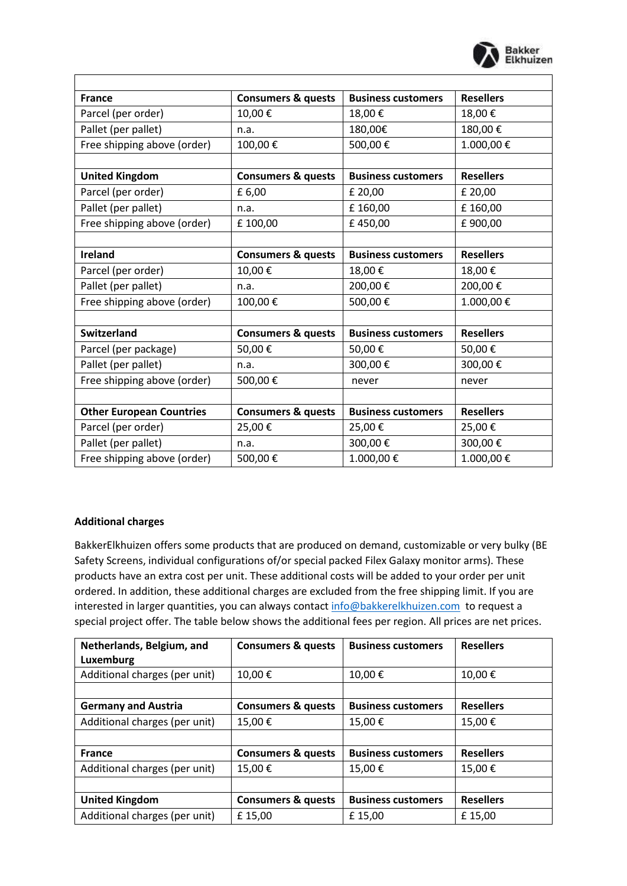

| <b>France</b>                   | <b>Consumers &amp; quests</b> | <b>Business customers</b> | <b>Resellers</b> |
|---------------------------------|-------------------------------|---------------------------|------------------|
| Parcel (per order)              | 10,00€                        | 18,00€                    | 18,00€           |
| Pallet (per pallet)             | n.a.                          | 180,00€                   | 180,00€          |
| Free shipping above (order)     | 100,00€                       | 500,00€                   | 1.000,00€        |
|                                 |                               |                           |                  |
| <b>United Kingdom</b>           | <b>Consumers &amp; quests</b> | <b>Business customers</b> | <b>Resellers</b> |
| Parcel (per order)              | £ 6,00                        | £ 20,00                   | £ 20,00          |
| Pallet (per pallet)             | n.a.                          | £160,00                   | £160,00          |
| Free shipping above (order)     | £100,00                       | £450,00                   | £900,00          |
|                                 |                               |                           |                  |
| <b>Ireland</b>                  | <b>Consumers &amp; quests</b> | <b>Business customers</b> | <b>Resellers</b> |
| Parcel (per order)              | 10,00€                        | 18,00€                    | 18,00€           |
| Pallet (per pallet)             | n.a.                          | 200,00€                   | 200,00€          |
| Free shipping above (order)     | 100,00€                       | 500,00€                   | 1.000,00€        |
|                                 |                               |                           |                  |
| <b>Switzerland</b>              | <b>Consumers &amp; quests</b> | <b>Business customers</b> | <b>Resellers</b> |
| Parcel (per package)            | 50,00€                        | 50,00€                    | 50,00€           |
| Pallet (per pallet)             | n.a.                          | 300,00€                   | 300,00€          |
| Free shipping above (order)     | 500,00€                       | never                     | never            |
|                                 |                               |                           |                  |
| <b>Other European Countries</b> | <b>Consumers &amp; quests</b> | <b>Business customers</b> | <b>Resellers</b> |
| Parcel (per order)              | 25,00€                        | 25,00€                    | 25,00€           |
| Pallet (per pallet)             | n.a.                          | 300,00€                   | 300,00€          |
| Free shipping above (order)     | 500,00€                       | 1.000,00€                 | 1.000,00€        |

## **Additional charges**

BakkerElkhuizen offers some products that are produced on demand, customizable or very bulky (BE Safety Screens, individual configurations of/or special packed Filex Galaxy monitor arms). These products have an extra cost per unit. These additional costs will be added to your order per unit ordered. In addition, these additional charges are excluded from the free shipping limit. If you are interested in larger quantities, you can always contac[t info@bakkerelkhuizen.com](mailto:info@bakkerelkhuizen.com) to request a special project offer. The table below shows the additional fees per region. All prices are net prices.

| Netherlands, Belgium, and<br>Luxemburg | <b>Consumers &amp; quests</b> | <b>Business customers</b> | <b>Resellers</b> |
|----------------------------------------|-------------------------------|---------------------------|------------------|
| Additional charges (per unit)          | 10,00€                        | 10,00€                    | 10,00€           |
|                                        |                               |                           |                  |
| <b>Germany and Austria</b>             | <b>Consumers &amp; quests</b> | <b>Business customers</b> | <b>Resellers</b> |
| Additional charges (per unit)          | 15,00€                        | 15,00€                    | 15,00€           |
|                                        |                               |                           |                  |
| <b>France</b>                          | <b>Consumers &amp; quests</b> | <b>Business customers</b> | <b>Resellers</b> |
| Additional charges (per unit)          | 15,00€                        | 15,00€                    | 15,00€           |
|                                        |                               |                           |                  |
| <b>United Kingdom</b>                  | <b>Consumers &amp; quests</b> | <b>Business customers</b> | <b>Resellers</b> |
| Additional charges (per unit)          | £15,00                        | £15,00                    | £15,00           |